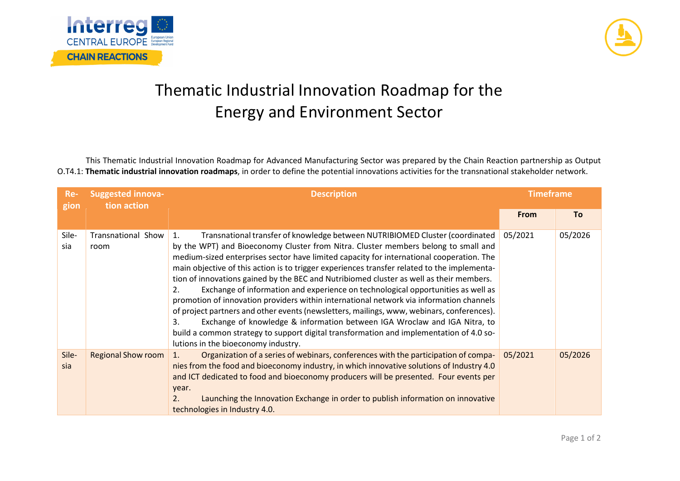



## Thematic Industrial Innovation Roadmap for the Energy and Environment Sector

This Thematic Industrial Innovation Roadmap for Advanced Manufacturing Sector was prepared by the Chain Reaction partnership as Output O.T4.1: **Thematic industrial innovation roadmaps**, in order to define the potential innovations activities for the transnational stakeholder network.

| Re-<br>gion  | <b>Suggested innova-</b><br>tion action | <b>Description</b>                                                                                                                                                                                                                                                                                                                                                                                                                                                                                                                                                                                                                                                                                                                                                                                                                                                                                                                                                    | <b>Timeframe</b> |           |
|--------------|-----------------------------------------|-----------------------------------------------------------------------------------------------------------------------------------------------------------------------------------------------------------------------------------------------------------------------------------------------------------------------------------------------------------------------------------------------------------------------------------------------------------------------------------------------------------------------------------------------------------------------------------------------------------------------------------------------------------------------------------------------------------------------------------------------------------------------------------------------------------------------------------------------------------------------------------------------------------------------------------------------------------------------|------------------|-----------|
|              |                                         |                                                                                                                                                                                                                                                                                                                                                                                                                                                                                                                                                                                                                                                                                                                                                                                                                                                                                                                                                                       | <b>From</b>      | <b>To</b> |
| Sile-<br>sia | Transnational Show<br>room              | Transnational transfer of knowledge between NUTRIBIOMED Cluster (coordinated<br>1.<br>by the WPT) and Bioeconomy Cluster from Nitra. Cluster members belong to small and<br>medium-sized enterprises sector have limited capacity for international cooperation. The<br>main objective of this action is to trigger experiences transfer related to the implementa-<br>tion of innovations gained by the BEC and Nutribiomed cluster as well as their members.<br>Exchange of information and experience on technological opportunities as well as<br>2.<br>promotion of innovation providers within international network via information channels<br>of project partners and other events (newsletters, mailings, www, webinars, conferences).<br>Exchange of knowledge & information between IGA Wroclaw and IGA Nitra, to<br>3.<br>build a common strategy to support digital transformation and implementation of 4.0 so-<br>lutions in the bioeconomy industry. | 05/2021          | 05/2026   |
| Sile-<br>sia | <b>Regional Show room</b>               | Organization of a series of webinars, conferences with the participation of compa-<br>$\mathbf{1}$ .<br>nies from the food and bioeconomy industry, in which innovative solutions of Industry 4.0<br>and ICT dedicated to food and bioeconomy producers will be presented. Four events per<br>year.<br>Launching the Innovation Exchange in order to publish information on innovative<br>2.<br>technologies in Industry 4.0.                                                                                                                                                                                                                                                                                                                                                                                                                                                                                                                                         | 05/2021          | 05/2026   |